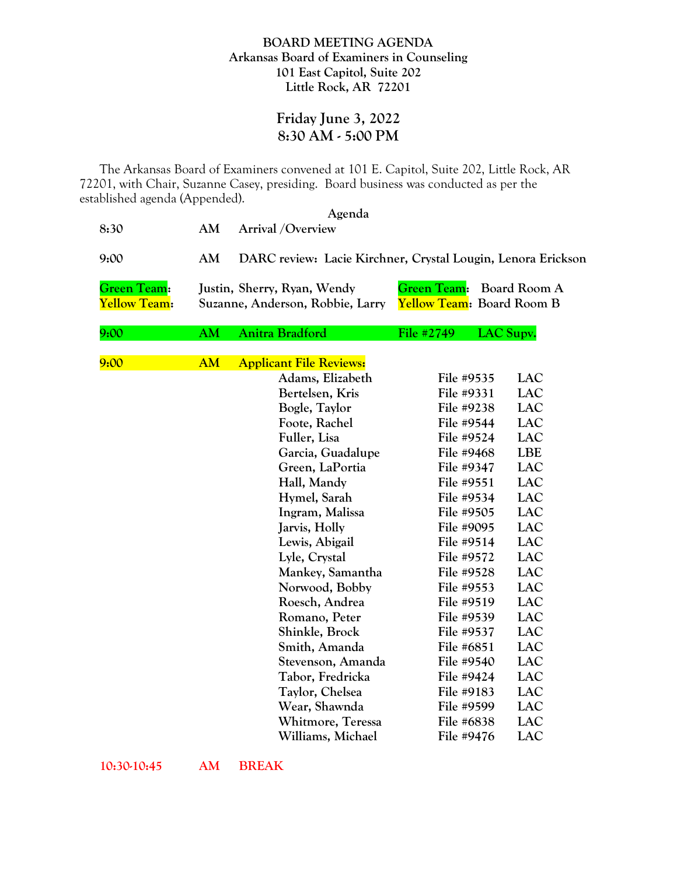## **BOARD MEETING AGENDA Arkansas Board of Examiners in Counseling 101 East Capitol, Suite 202 Little Rock, AR 72201**

## **Friday June 3, 2022 8:30 AM - 5:00 PM**

The Arkansas Board of Examiners convened at 101 E. Capitol, Suite 202, Little Rock, AR 72201, with Chair, Suzanne Casey, presiding. Board business was conducted as per the established agenda (Appended).

|                                    |           | Agenda                                                          |                    |                                           |
|------------------------------------|-----------|-----------------------------------------------------------------|--------------------|-------------------------------------------|
| 8:30                               | AM        | <b>Arrival</b> / Overview                                       |                    |                                           |
| 9:00                               | AM        | DARC review: Lacie Kirchner, Crystal Lougin, Lenora Erickson    |                    |                                           |
| Green Team:<br><b>Yellow Team:</b> |           | Justin, Sherry, Ryan, Wendy<br>Suzanne, Anderson, Robbie, Larry | <b>Green Team:</b> | Board Room A<br>Yellow Team: Board Room B |
| 9:00                               | AM        | Anitra Bradford                                                 | File #2749         | LAC Supv.                                 |
|                                    |           |                                                                 |                    |                                           |
| 9:00                               | <b>AM</b> | <b>Applicant File Reviews:</b>                                  |                    |                                           |
|                                    |           | Adams, Elizabeth                                                | File #9535         | LAC                                       |
|                                    |           | Bertelsen, Kris                                                 | File #9331         | <b>LAC</b>                                |
|                                    |           | Bogle, Taylor                                                   | File #9238         | <b>LAC</b>                                |
|                                    |           | Foote, Rachel                                                   | File #9544         | <b>LAC</b>                                |
|                                    |           | Fuller, Lisa                                                    | File #9524         | <b>LAC</b>                                |
|                                    |           | Garcia, Guadalupe                                               | File #9468         | <b>LBE</b>                                |
|                                    |           | Green, LaPortia                                                 | File #9347         | <b>LAC</b>                                |
|                                    |           | Hall, Mandy                                                     | File #9551         | <b>LAC</b>                                |
|                                    |           | Hymel, Sarah                                                    | File #9534         | <b>LAC</b>                                |
|                                    |           | Ingram, Malissa                                                 | File #9505         | <b>LAC</b>                                |
|                                    |           | Jarvis, Holly                                                   | File #9095         | <b>LAC</b>                                |
|                                    |           | Lewis, Abigail                                                  | File #9514         | <b>LAC</b>                                |
|                                    |           | Lyle, Crystal                                                   | File #9572         | <b>LAC</b>                                |
|                                    |           | <b>Mankey, Samantha</b>                                         | File #9528         | <b>LAC</b>                                |
|                                    |           | Norwood, Bobby                                                  | File #9553         | <b>LAC</b>                                |
|                                    |           | Roesch, Andrea                                                  | File #9519         | <b>LAC</b>                                |
|                                    |           | Romano, Peter                                                   | File #9539         | <b>LAC</b>                                |
|                                    |           | Shinkle, Brock                                                  | File #9537         | <b>LAC</b>                                |
|                                    |           | Smith, Amanda                                                   | File #6851         | <b>LAC</b>                                |
|                                    |           | Stevenson, Amanda                                               | File #9540         | <b>LAC</b>                                |
|                                    |           | Tabor, Fredricka                                                | File #9424         | <b>LAC</b>                                |
|                                    |           | Taylor, Chelsea                                                 | File #9183         | <b>LAC</b>                                |
|                                    |           | Wear, Shawnda                                                   | File #9599         | <b>LAC</b>                                |
|                                    |           | Whitmore, Teressa                                               | File #6838         | <b>LAC</b>                                |
|                                    |           | Williams, Michael                                               | File #9476         | <b>LAC</b>                                |

**10:30-10:45 AM BREAK**